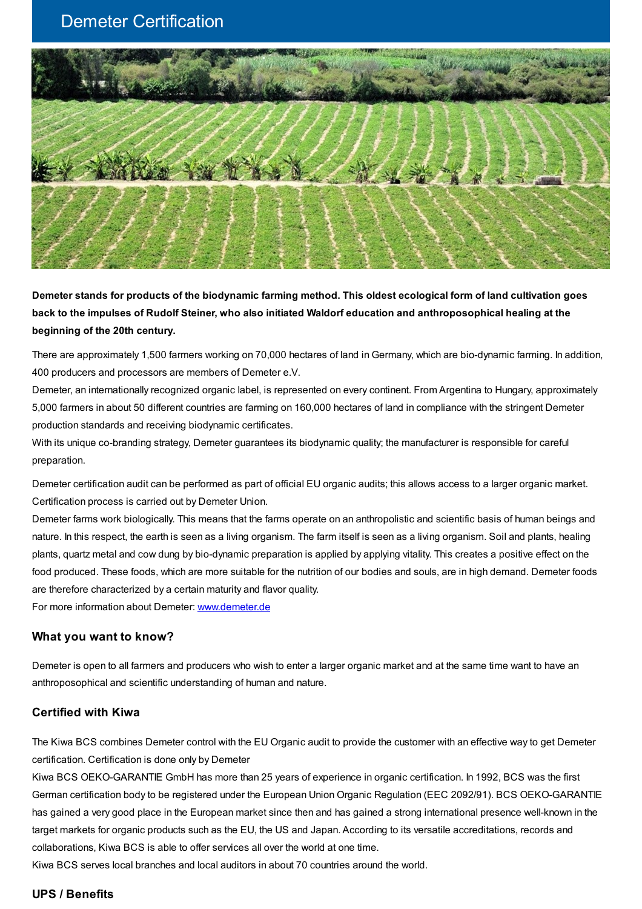## Demeter Certification



Demeter stands for products of the biodynamic farming method. This oldest ecological form of land cultivation goes back to the impulses of Rudolf Steiner, who also initiated Waldorf education and anthroposophical healing at the **beginning of the 20th century.**

There are approximately 1,500 farmers working on 70,000 hectares of land in Germany, which are bio-dynamic farming. In addition, 400 producers and processors are members of Demeter e.V.

Demeter, an internationally recognized organic label, is represented on every continent. From Argentina to Hungary, approximately 5,000 farmers in about 50 different countries are farming on 160,000 hectares of land in compliance with the stringent Demeter production standards and receiving biodynamic certificates.

With its unique co-branding strategy, Demeter guarantees its biodynamic quality; the manufacturer is responsible for careful preparation.

Demeter certification audit can be performed as part of official EU organic audits; this allows access to a larger organic market. Certification process is carried out by Demeter Union.

Demeter farms work biologically. This means that the farms operate on an anthropolistic and scientific basis of human beings and nature. In this respect, the earth is seen as a living organism. The farm itself is seen as a living organism. Soil and plants, healing plants, quartz metal and cow dung by bio-dynamic preparation is applied by applying vitality. This creates a positive effect on the food produced. These foods, which are more suitable for the nutrition of our bodies and souls, are in high demand. Demeter foods are therefore characterized by a certain maturity and flavor quality.

For more information about Demeter: [www.demeter.de](http://www.demeter.de/)

## **What you want to know?**

Demeter is open to all farmers and producers who wish to enter a larger organic market and at the same time want to have an anthroposophical and scientific understanding of human and nature.

## **Certified with Kiwa**

The Kiwa BCS combines Demeter control with the EU Organic audit to provide the customer with an effective way to get Demeter certification. Certification is done only by Demeter

Kiwa BCS OEKO-GARANTIE GmbH has more than 25 years of experience in organic certification. In 1992, BCS was the first German certification body to be registered under the European Union Organic Regulation (EEC 2092/91). BCS OEKO-GARANTIE has gained a very good place in the European market since then and has gained a strong international presence well-known in the target markets for organic products such as the EU, the US and Japan. According to its versatile accreditations, records and collaborations, Kiwa BCS is able to offer services all over the world at one time.

Kiwa BCS serves local branches and local auditors in about 70 countries around the world.

## **UPS / Benefits**